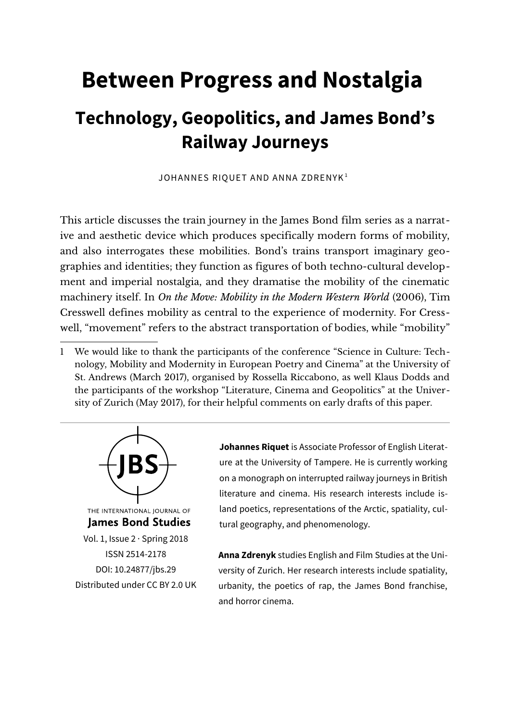# **Between Progress and Nostalgia Technology, Geopolitics, and James Bond's Railway Journeys**

JOHANNES RIQUET AND ANNA ZDRENYK<sup>[1](#page-0-0)</sup>

This article discusses the train journey in the James Bond film series as a narrative and aesthetic device which produces specifically modern forms of mobility, and also interrogates these mobilities. Bond's trains transport imaginary geographies and identities; they function as figures of both techno-cultural development and imperial nostalgia, and they dramatise the mobility of the cinematic machinery itself. In *On the Move: Mobility in the Modern Western World* (2006), Tim Cresswell defines mobility as central to the experience of modernity. For Cresswell, "movement" refers to the abstract transportation of bodies, while "mobility"

<span id="page-0-0"></span>1 We would like to thank the participants of the conference "Science in Culture: Technology, Mobility and Modernity in European Poetry and Cinema" at the University of St. Andrews (March 2017), organised by Rossella Riccabono, as well Klaus Dodds and the participants of the workshop "Literature, Cinema and Geopolitics" at the University of Zurich (May 2017), for their helpful comments on early drafts of this paper.



**Johannes Riquet** is Associate Professor of English Literature at the University of Tampere. He is currently working on a monograph on interrupted railway journeys in British literature and cinema. His research interests include island poetics, representations of the Arctic, spatiality, cultural geography, and phenomenology.

**Anna Zdrenyk** studies English and Film Studies at the University of Zurich. Her research interests include spatiality, urbanity, the poetics of rap, the James Bond franchise, and horror cinema.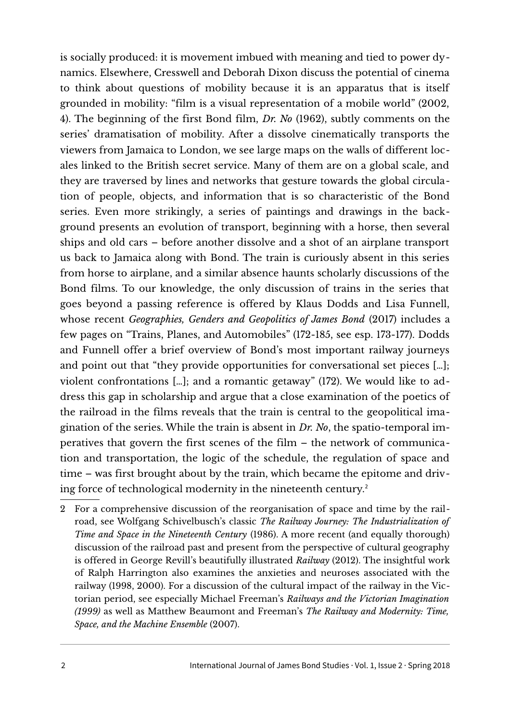is socially produced: it is movement imbued with meaning and tied to power dynamics. Elsewhere, Cresswell and Deborah Dixon discuss the potential of cinema to think about questions of mobility because it is an apparatus that is itself grounded in mobility: "film is a visual representation of a mobile world" (2002, 4). The beginning of the first Bond film, *Dr. No* (1962), subtly comments on the series' dramatisation of mobility. After a dissolve cinematically transports the viewers from Jamaica to London, we see large maps on the walls of different locales linked to the British secret service. Many of them are on a global scale, and they are traversed by lines and networks that gesture towards the global circulation of people, objects, and information that is so characteristic of the Bond series. Even more strikingly, a series of paintings and drawings in the background presents an evolution of transport, beginning with a horse, then several ships and old cars – before another dissolve and a shot of an airplane transport us back to Jamaica along with Bond. The train is curiously absent in this series from horse to airplane, and a similar absence haunts scholarly discussions of the Bond films. To our knowledge, the only discussion of trains in the series that goes beyond a passing reference is offered by Klaus Dodds and Lisa Funnell, whose recent *Geographies, Genders and Geopolitics of James Bond* (2017) includes a few pages on "Trains, Planes, and Automobiles" (172-185, see esp. 173-177). Dodds and Funnell offer a brief overview of Bond's most important railway journeys and point out that "they provide opportunities for conversational set pieces […]; violent confrontations […]; and a romantic getaway" (172). We would like to address this gap in scholarship and argue that a close examination of the poetics of the railroad in the films reveals that the train is central to the geopolitical imagination of the series. While the train is absent in *Dr. No*, the spatio-temporal imperatives that govern the first scenes of the film – the network of communication and transportation, the logic of the schedule, the regulation of space and time – was first brought about by the train, which became the epitome and driv-ing force of technological modernity in the nineteenth century.<sup>[2](#page-1-0)</sup>

<span id="page-1-0"></span><sup>2</sup> For a comprehensive discussion of the reorganisation of space and time by the railroad, see Wolfgang Schivelbusch's classic *The Railway Journey: The Industrialization of Time and Space in the Nineteenth Century* (1986). A more recent (and equally thorough) discussion of the railroad past and present from the perspective of cultural geography is offered in George Revill's beautifully illustrated *Railway* (2012). The insightful work of Ralph Harrington also examines the anxieties and neuroses associated with the railway (1998, 2000). For a discussion of the cultural impact of the railway in the Victorian period, see especially Michael Freeman's *Railways and the Victorian Imagination (1999)* as well as Matthew Beaumont and Freeman's *The Railway and Modernity: Time, Space, and the Machine Ensemble* (2007).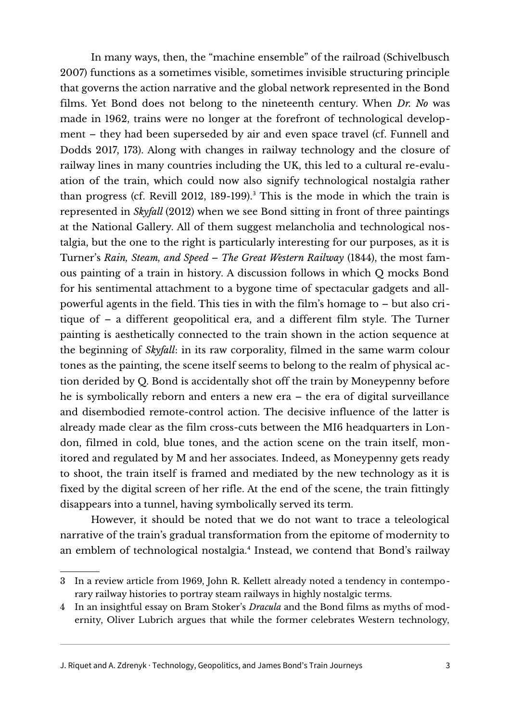In many ways, then, the "machine ensemble" of the railroad (Schivelbusch 2007) functions as a sometimes visible, sometimes invisible structuring principle that governs the action narrative and the global network represented in the Bond films. Yet Bond does not belong to the nineteenth century. When *Dr. No* was made in 1962, trains were no longer at the forefront of technological development – they had been superseded by air and even space travel (cf. Funnell and Dodds 2017, 173). Along with changes in railway technology and the closure of railway lines in many countries including the UK, this led to a cultural re-evaluation of the train, which could now also signify technological nostalgia rather than progress (cf. Revill 2012, 189-199).<sup>[3](#page-2-0)</sup> This is the mode in which the train is represented in *Skyfall* (2012) when we see Bond sitting in front of three paintings at the National Gallery. All of them suggest melancholia and technological nostalgia, but the one to the right is particularly interesting for our purposes, as it is Turner's *Rain, Steam, and Speed – The Great Western Railway* (1844), the most famous painting of a train in history. A discussion follows in which Q mocks Bond for his sentimental attachment to a bygone time of spectacular gadgets and allpowerful agents in the field. This ties in with the film's homage to – but also critique of – a different geopolitical era, and a different film style. The Turner painting is aesthetically connected to the train shown in the action sequence at the beginning of *Skyfall*: in its raw corporality, filmed in the same warm colour tones as the painting, the scene itself seems to belong to the realm of physical action derided by Q. Bond is accidentally shot off the train by Moneypenny before he is symbolically reborn and enters a new era – the era of digital surveillance and disembodied remote-control action. The decisive influence of the latter is already made clear as the film cross-cuts between the MI6 headquarters in London, filmed in cold, blue tones, and the action scene on the train itself, monitored and regulated by M and her associates. Indeed, as Moneypenny gets ready to shoot, the train itself is framed and mediated by the new technology as it is fixed by the digital screen of her rifle. At the end of the scene, the train fittingly disappears into a tunnel, having symbolically served its term.

However, it should be noted that we do not want to trace a teleological narrative of the train's gradual transformation from the epitome of modernity to an emblem of technological nostalgia.[4](#page-2-1) Instead, we contend that Bond's railway

J. Riquet and A. Zdrenyk · Technology, Geopolitics, and James Bond's Train Journeys 3

<span id="page-2-0"></span><sup>3</sup> In a review article from 1969, John R. Kellett already noted a tendency in contemporary railway histories to portray steam railways in highly nostalgic terms.

<span id="page-2-1"></span><sup>4</sup> In an insightful essay on Bram Stoker's *Dracula* and the Bond films as myths of modernity, Oliver Lubrich argues that while the former celebrates Western technology,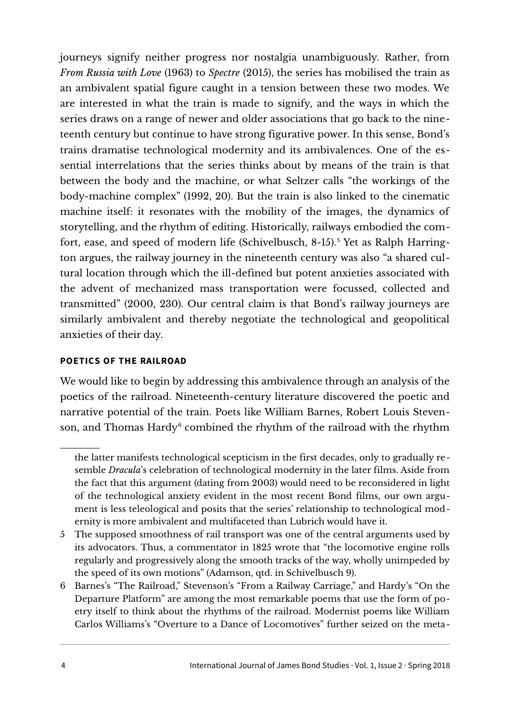journeys signify neither progress nor nostalgia unambiguously. Rather, from *From Russia with Love* (1963) to *Spectre* (2015), the series has mobilised the train as an ambivalent spatial figure caught in a tension between these two modes. We are interested in what the train is made to signify, and the ways in which the series draws on a range of newer and older associations that go back to the nineteenth century but continue to have strong figurative power. In this sense, Bond's trains dramatise technological modernity and its ambivalences. One of the essential interrelations that the series thinks about by means of the train is that between the body and the machine, or what Seltzer calls "the workings of the body-machine complex" (1992, 20). But the train is also linked to the cinematic machine itself: it resonates with the mobility of the images, the dynamics of storytelling, and the rhythm of editing. Historically, railways embodied the com-fort, ease, and speed of modern life (Schivelbusch, 8-1[5](#page-3-0)).<sup>5</sup> Yet as Ralph Harrington argues, the railway journey in the nineteenth century was also "a shared cultural location through which the ill-defined but potent anxieties associated with the advent of mechanized mass transportation were focussed, collected and transmitted" (2000, 230). Our central claim is that Bond's railway journeys are similarly ambivalent and thereby negotiate the technological and geopolitical anxieties of their day.

# **POETICS OF THE RAILROAD**

We would like to begin by addressing this ambivalence through an analysis of the poetics of the railroad. Nineteenth-century literature discovered the poetic and narrative potential of the train. Poets like William Barnes, Robert Louis Steven-son, and Thomas Hardy<sup>[6](#page-3-1)</sup> combined the rhythm of the railroad with the rhythm

the latter manifests technological scepticism in the first decades, only to gradually resemble *Dracula*'s celebration of technological modernity in the later films. Aside from the fact that this argument (dating from 2003) would need to be reconsidered in light of the technological anxiety evident in the most recent Bond films, our own argument is less teleological and posits that the series' relationship to technological modernity is more ambivalent and multifaceted than Lubrich would have it.

<span id="page-3-0"></span><sup>5</sup> The supposed smoothness of rail transport was one of the central arguments used by its advocators. Thus, a commentator in 1825 wrote that "the locomotive engine rolls regularly and progressively along the smooth tracks of the way, wholly unimpeded by the speed of its own motions" (Adamson, qtd. in Schivelbusch 9).

<span id="page-3-1"></span><sup>6</sup> Barnes's "The Railroad," Stevenson's "From a Railway Carriage," and Hardy's "On the Departure Platform" are among the most remarkable poems that use the form of poetry itself to think about the rhythms of the railroad. Modernist poems like William Carlos Williams's "Overture to a Dance of Locomotives" further seized on the meta-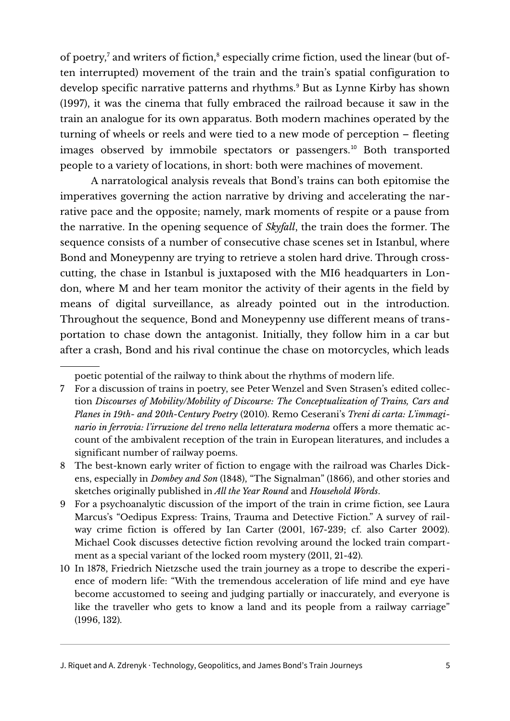of poetry,<sup>[7](#page-4-0)</sup> and writers of fiction,<sup>[8](#page-4-1)</sup> especially crime fiction, used the linear (but often interrupted) movement of the train and the train's spatial configuration to develop specific narrative patterns and rhythms.<sup>[9](#page-4-2)</sup> But as Lynne Kirby has shown (1997), it was the cinema that fully embraced the railroad because it saw in the train an analogue for its own apparatus. Both modern machines operated by the turning of wheels or reels and were tied to a new mode of perception – fleeting images observed by immobile spectators or passengers.<sup>[10](#page-4-3)</sup> Both transported people to a variety of locations, in short: both were machines of movement.

A narratological analysis reveals that Bond's trains can both epitomise the imperatives governing the action narrative by driving and accelerating the narrative pace and the opposite; namely, mark moments of respite or a pause from the narrative. In the opening sequence of *Skyfall*, the train does the former. The sequence consists of a number of consecutive chase scenes set in Istanbul, where Bond and Moneypenny are trying to retrieve a stolen hard drive. Through crosscutting, the chase in Istanbul is juxtaposed with the MI6 headquarters in London, where M and her team monitor the activity of their agents in the field by means of digital surveillance, as already pointed out in the introduction. Throughout the sequence, Bond and Moneypenny use different means of transportation to chase down the antagonist. Initially, they follow him in a car but after a crash, Bond and his rival continue the chase on motorcycles, which leads

poetic potential of the railway to think about the rhythms of modern life.

<span id="page-4-0"></span><sup>7</sup> For a discussion of trains in poetry, see Peter Wenzel and Sven Strasen's edited collection *Discourses of Mobility/Mobility of Discourse: The Conceptualization of Trains, Cars and Planes in 19th- and 20th-Century Poetry* (2010). Remo Ceserani's *Treni di carta: L'immaginario in ferrovia: l'irruzione del treno nella letteratura moderna* offers a more thematic account of the ambivalent reception of the train in European literatures, and includes a significant number of railway poems.

<span id="page-4-1"></span><sup>8</sup> The best-known early writer of fiction to engage with the railroad was Charles Dickens, especially in *Dombey and Son* (1848), "The Signalman" (1866), and other stories and sketches originally published in *All the Year Round* and *Household Words*.

<span id="page-4-2"></span><sup>9</sup> For a psychoanalytic discussion of the import of the train in crime fiction, see Laura Marcus's "Oedipus Express: Trains, Trauma and Detective Fiction." A survey of railway crime fiction is offered by Ian Carter (2001, 167-239; cf. also Carter 2002). Michael Cook discusses detective fiction revolving around the locked train compartment as a special variant of the locked room mystery (2011, 21-42).

<span id="page-4-3"></span><sup>10</sup> In 1878, Friedrich Nietzsche used the train journey as a trope to describe the experi ence of modern life: "With the tremendous acceleration of life mind and eye have become accustomed to seeing and judging partially or inaccurately, and everyone is like the traveller who gets to know a land and its people from a railway carriage" (1996, 132).

J. Riquet and A. Zdrenyk · Technology, Geopolitics, and James Bond's Train Journeys 5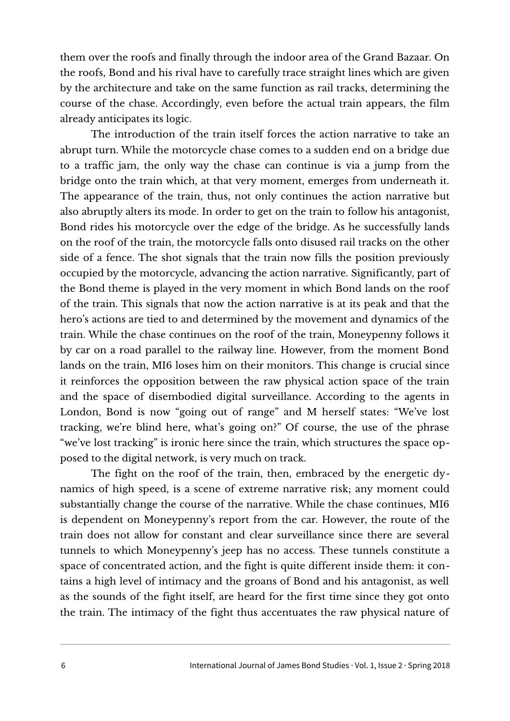them over the roofs and finally through the indoor area of the Grand Bazaar. On the roofs, Bond and his rival have to carefully trace straight lines which are given by the architecture and take on the same function as rail tracks, determining the course of the chase. Accordingly, even before the actual train appears, the film already anticipates its logic.

The introduction of the train itself forces the action narrative to take an abrupt turn. While the motorcycle chase comes to a sudden end on a bridge due to a traffic jam, the only way the chase can continue is via a jump from the bridge onto the train which, at that very moment, emerges from underneath it. The appearance of the train, thus, not only continues the action narrative but also abruptly alters its mode. In order to get on the train to follow his antagonist, Bond rides his motorcycle over the edge of the bridge. As he successfully lands on the roof of the train, the motorcycle falls onto disused rail tracks on the other side of a fence. The shot signals that the train now fills the position previously occupied by the motorcycle, advancing the action narrative. Significantly, part of the Bond theme is played in the very moment in which Bond lands on the roof of the train. This signals that now the action narrative is at its peak and that the hero's actions are tied to and determined by the movement and dynamics of the train. While the chase continues on the roof of the train, Moneypenny follows it by car on a road parallel to the railway line. However, from the moment Bond lands on the train, MI6 loses him on their monitors. This change is crucial since it reinforces the opposition between the raw physical action space of the train and the space of disembodied digital surveillance. According to the agents in London, Bond is now "going out of range" and M herself states: "We've lost tracking, we're blind here, what's going on?" Of course, the use of the phrase "we've lost tracking" is ironic here since the train, which structures the space opposed to the digital network, is very much on track.

The fight on the roof of the train, then, embraced by the energetic dynamics of high speed, is a scene of extreme narrative risk; any moment could substantially change the course of the narrative. While the chase continues, MI6 is dependent on Moneypenny's report from the car. However, the route of the train does not allow for constant and clear surveillance since there are several tunnels to which Moneypenny's jeep has no access. These tunnels constitute a space of concentrated action, and the fight is quite different inside them: it contains a high level of intimacy and the groans of Bond and his antagonist, as well as the sounds of the fight itself, are heard for the first time since they got onto the train. The intimacy of the fight thus accentuates the raw physical nature of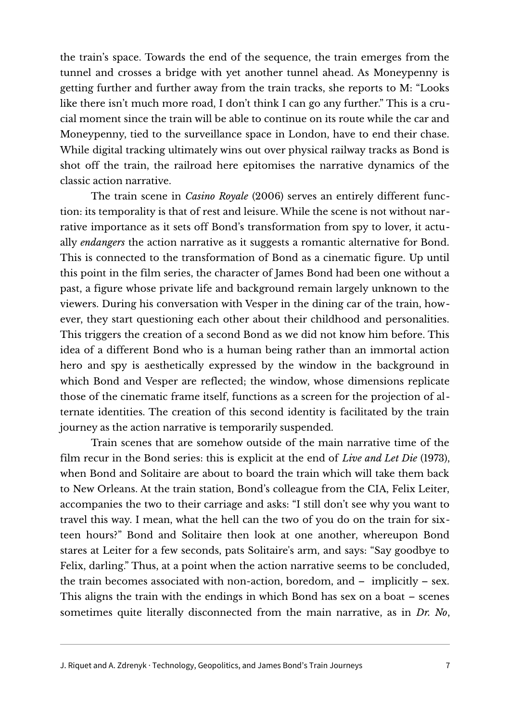the train's space. Towards the end of the sequence, the train emerges from the tunnel and crosses a bridge with yet another tunnel ahead. As Moneypenny is getting further and further away from the train tracks, she reports to M: "Looks like there isn't much more road, I don't think I can go any further." This is a crucial moment since the train will be able to continue on its route while the car and Moneypenny, tied to the surveillance space in London, have to end their chase. While digital tracking ultimately wins out over physical railway tracks as Bond is shot off the train, the railroad here epitomises the narrative dynamics of the classic action narrative.

The train scene in *Casino Royale* (2006) serves an entirely different function: its temporality is that of rest and leisure. While the scene is not without narrative importance as it sets off Bond's transformation from spy to lover, it actually *endangers* the action narrative as it suggests a romantic alternative for Bond. This is connected to the transformation of Bond as a cinematic figure. Up until this point in the film series, the character of James Bond had been one without a past, a figure whose private life and background remain largely unknown to the viewers. During his conversation with Vesper in the dining car of the train, however, they start questioning each other about their childhood and personalities. This triggers the creation of a second Bond as we did not know him before. This idea of a different Bond who is a human being rather than an immortal action hero and spy is aesthetically expressed by the window in the background in which Bond and Vesper are reflected; the window, whose dimensions replicate those of the cinematic frame itself, functions as a screen for the projection of alternate identities. The creation of this second identity is facilitated by the train journey as the action narrative is temporarily suspended.

Train scenes that are somehow outside of the main narrative time of the film recur in the Bond series: this is explicit at the end of *Live and Let Die* (1973), when Bond and Solitaire are about to board the train which will take them back to New Orleans. At the train station, Bond's colleague from the CIA, Felix Leiter, accompanies the two to their carriage and asks: "I still don't see why you want to travel this way. I mean, what the hell can the two of you do on the train for sixteen hours?" Bond and Solitaire then look at one another, whereupon Bond stares at Leiter for a few seconds, pats Solitaire's arm, and says: "Say goodbye to Felix, darling." Thus, at a point when the action narrative seems to be concluded, the train becomes associated with non-action, boredom, and – implicitly – sex. This aligns the train with the endings in which Bond has sex on a boat – scenes sometimes quite literally disconnected from the main narrative, as in *Dr. No*,

J. Riquet and A. Zdrenyk · Technology, Geopolitics, and James Bond's Train Journeys 7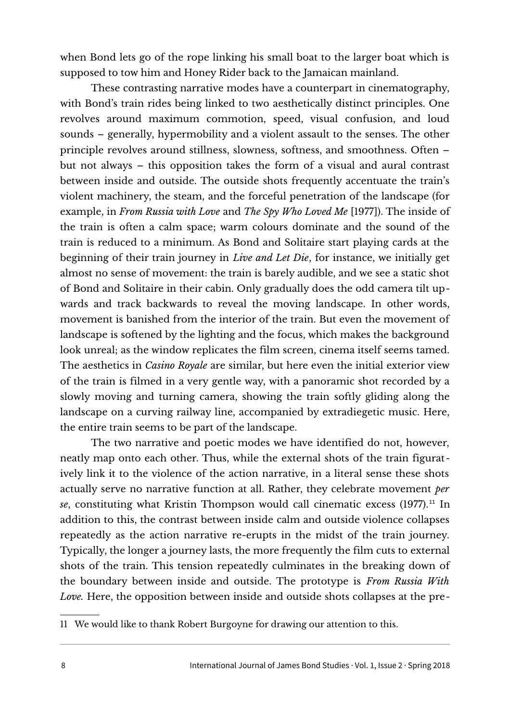when Bond lets go of the rope linking his small boat to the larger boat which is supposed to tow him and Honey Rider back to the Jamaican mainland.

These contrasting narrative modes have a counterpart in cinematography, with Bond's train rides being linked to two aesthetically distinct principles. One revolves around maximum commotion, speed, visual confusion, and loud sounds – generally, hypermobility and a violent assault to the senses. The other principle revolves around stillness, slowness, softness, and smoothness. Often – but not always – this opposition takes the form of a visual and aural contrast between inside and outside. The outside shots frequently accentuate the train's violent machinery, the steam, and the forceful penetration of the landscape (for example, in *From Russia with Love* and *The Spy Who Loved Me* [1977]). The inside of the train is often a calm space; warm colours dominate and the sound of the train is reduced to a minimum. As Bond and Solitaire start playing cards at the beginning of their train journey in *Live and Let Die*, for instance, we initially get almost no sense of movement: the train is barely audible, and we see a static shot of Bond and Solitaire in their cabin. Only gradually does the odd camera tilt upwards and track backwards to reveal the moving landscape. In other words, movement is banished from the interior of the train. But even the movement of landscape is softened by the lighting and the focus, which makes the background look unreal; as the window replicates the film screen, cinema itself seems tamed. The aesthetics in *Casino Royale* are similar, but here even the initial exterior view of the train is filmed in a very gentle way, with a panoramic shot recorded by a slowly moving and turning camera, showing the train softly gliding along the landscape on a curving railway line, accompanied by extradiegetic music. Here, the entire train seems to be part of the landscape.

The two narrative and poetic modes we have identified do not, however, neatly map onto each other. Thus, while the external shots of the train figuratively link it to the violence of the action narrative, in a literal sense these shots actually serve no narrative function at all. Rather, they celebrate movement *per* se, constituting what Kristin Thompson would call cinematic excess (1977).<sup>[11](#page-7-0)</sup> In addition to this, the contrast between inside calm and outside violence collapses repeatedly as the action narrative re-erupts in the midst of the train journey. Typically, the longer a journey lasts, the more frequently the film cuts to external shots of the train. This tension repeatedly culminates in the breaking down of the boundary between inside and outside. The prototype is *From Russia With Love.* Here, the opposition between inside and outside shots collapses at the pre-

<span id="page-7-0"></span>11 We would like to thank Robert Burgoyne for drawing our attention to this.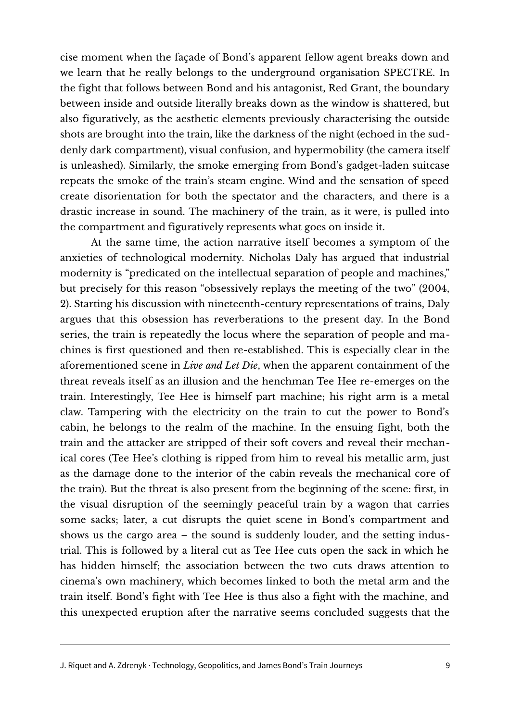cise moment when the façade of Bond's apparent fellow agent breaks down and we learn that he really belongs to the underground organisation SPECTRE. In the fight that follows between Bond and his antagonist, Red Grant, the boundary between inside and outside literally breaks down as the window is shattered, but also figuratively, as the aesthetic elements previously characterising the outside shots are brought into the train, like the darkness of the night (echoed in the suddenly dark compartment), visual confusion, and hypermobility (the camera itself is unleashed). Similarly, the smoke emerging from Bond's gadget-laden suitcase repeats the smoke of the train's steam engine. Wind and the sensation of speed create disorientation for both the spectator and the characters, and there is a drastic increase in sound. The machinery of the train, as it were, is pulled into the compartment and figuratively represents what goes on inside it.

At the same time, the action narrative itself becomes a symptom of the anxieties of technological modernity. Nicholas Daly has argued that industrial modernity is "predicated on the intellectual separation of people and machines," but precisely for this reason "obsessively replays the meeting of the two" (2004, 2). Starting his discussion with nineteenth-century representations of trains, Daly argues that this obsession has reverberations to the present day. In the Bond series, the train is repeatedly the locus where the separation of people and machines is first questioned and then re-established. This is especially clear in the aforementioned scene in *Live and Let Die*, when the apparent containment of the threat reveals itself as an illusion and the henchman Tee Hee re-emerges on the train. Interestingly, Tee Hee is himself part machine; his right arm is a metal claw. Tampering with the electricity on the train to cut the power to Bond's cabin, he belongs to the realm of the machine. In the ensuing fight, both the train and the attacker are stripped of their soft covers and reveal their mechanical cores (Tee Hee's clothing is ripped from him to reveal his metallic arm, just as the damage done to the interior of the cabin reveals the mechanical core of the train). But the threat is also present from the beginning of the scene: first, in the visual disruption of the seemingly peaceful train by a wagon that carries some sacks; later, a cut disrupts the quiet scene in Bond's compartment and shows us the cargo area – the sound is suddenly louder, and the setting industrial. This is followed by a literal cut as Tee Hee cuts open the sack in which he has hidden himself; the association between the two cuts draws attention to cinema's own machinery, which becomes linked to both the metal arm and the train itself. Bond's fight with Tee Hee is thus also a fight with the machine, and this unexpected eruption after the narrative seems concluded suggests that the

J. Riquet and A. Zdrenyk · Technology, Geopolitics, and James Bond's Train Journeys 9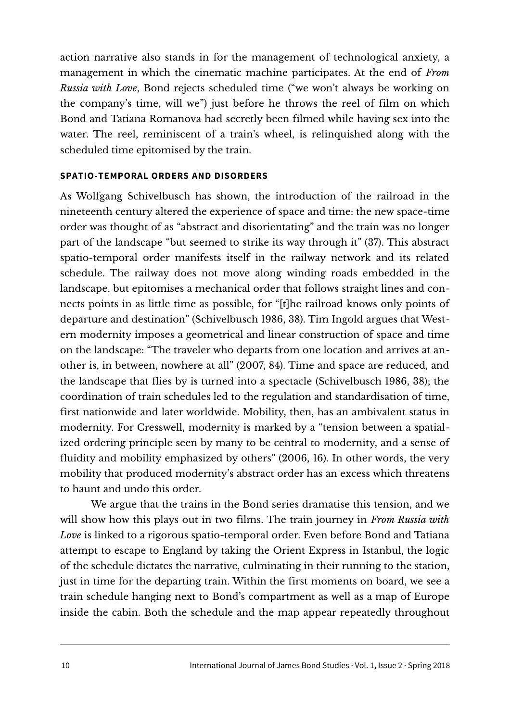action narrative also stands in for the management of technological anxiety, a management in which the cinematic machine participates. At the end of *From Russia with Love*, Bond rejects scheduled time ("we won't always be working on the company's time, will we") just before he throws the reel of film on which Bond and Tatiana Romanova had secretly been filmed while having sex into the water. The reel, reminiscent of a train's wheel, is relinquished along with the scheduled time epitomised by the train.

#### **SPATIO-TEMPORAL ORDERS AND DISORDERS**

As Wolfgang Schivelbusch has shown, the introduction of the railroad in the nineteenth century altered the experience of space and time: the new space-time order was thought of as "abstract and disorientating" and the train was no longer part of the landscape "but seemed to strike its way through it" (37). This abstract spatio-temporal order manifests itself in the railway network and its related schedule. The railway does not move along winding roads embedded in the landscape, but epitomises a mechanical order that follows straight lines and connects points in as little time as possible, for "[t]he railroad knows only points of departure and destination" (Schivelbusch 1986, 38). Tim Ingold argues that Western modernity imposes a geometrical and linear construction of space and time on the landscape: "The traveler who departs from one location and arrives at another is, in between, nowhere at all" (2007, 84). Time and space are reduced, and the landscape that flies by is turned into a spectacle (Schivelbusch 1986, 38); the coordination of train schedules led to the regulation and standardisation of time, first nationwide and later worldwide. Mobility, then, has an ambivalent status in modernity. For Cresswell, modernity is marked by a "tension between a spatialized ordering principle seen by many to be central to modernity, and a sense of fluidity and mobility emphasized by others" (2006, 16). In other words, the very mobility that produced modernity's abstract order has an excess which threatens to haunt and undo this order.

We argue that the trains in the Bond series dramatise this tension, and we will show how this plays out in two films. The train journey in *From Russia with Love* is linked to a rigorous spatio-temporal order. Even before Bond and Tatiana attempt to escape to England by taking the Orient Express in Istanbul, the logic of the schedule dictates the narrative, culminating in their running to the station, just in time for the departing train. Within the first moments on board, we see a train schedule hanging next to Bond's compartment as well as a map of Europe inside the cabin. Both the schedule and the map appear repeatedly throughout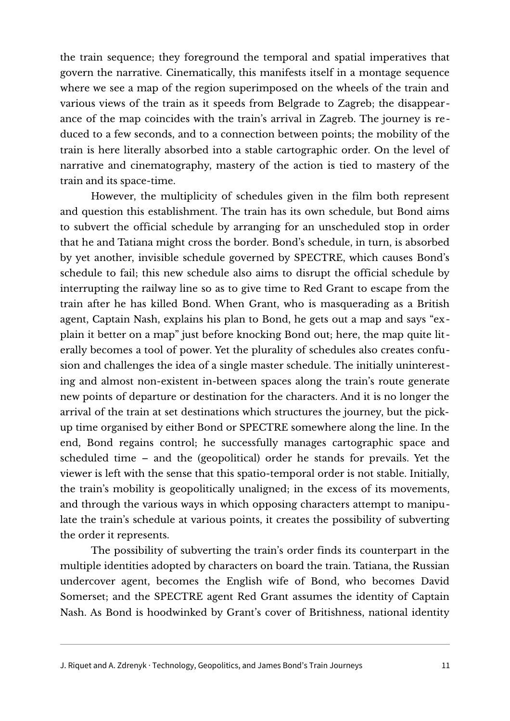the train sequence; they foreground the temporal and spatial imperatives that govern the narrative. Cinematically, this manifests itself in a montage sequence where we see a map of the region superimposed on the wheels of the train and various views of the train as it speeds from Belgrade to Zagreb; the disappearance of the map coincides with the train's arrival in Zagreb. The journey is reduced to a few seconds, and to a connection between points; the mobility of the train is here literally absorbed into a stable cartographic order. On the level of narrative and cinematography, mastery of the action is tied to mastery of the train and its space-time.

However, the multiplicity of schedules given in the film both represent and question this establishment. The train has its own schedule, but Bond aims to subvert the official schedule by arranging for an unscheduled stop in order that he and Tatiana might cross the border. Bond's schedule, in turn, is absorbed by yet another, invisible schedule governed by SPECTRE, which causes Bond's schedule to fail; this new schedule also aims to disrupt the official schedule by interrupting the railway line so as to give time to Red Grant to escape from the train after he has killed Bond. When Grant, who is masquerading as a British agent, Captain Nash, explains his plan to Bond, he gets out a map and says "explain it better on a map" just before knocking Bond out; here, the map quite literally becomes a tool of power. Yet the plurality of schedules also creates confusion and challenges the idea of a single master schedule. The initially uninteresting and almost non-existent in-between spaces along the train's route generate new points of departure or destination for the characters. And it is no longer the arrival of the train at set destinations which structures the journey, but the pickup time organised by either Bond or SPECTRE somewhere along the line. In the end, Bond regains control; he successfully manages cartographic space and scheduled time – and the (geopolitical) order he stands for prevails. Yet the viewer is left with the sense that this spatio-temporal order is not stable. Initially, the train's mobility is geopolitically unaligned; in the excess of its movements, and through the various ways in which opposing characters attempt to manipulate the train's schedule at various points, it creates the possibility of subverting the order it represents.

The possibility of subverting the train's order finds its counterpart in the multiple identities adopted by characters on board the train. Tatiana, the Russian undercover agent, becomes the English wife of Bond, who becomes David Somerset; and the SPECTRE agent Red Grant assumes the identity of Captain Nash. As Bond is hoodwinked by Grant's cover of Britishness, national identity

J. Riquet and A. Zdrenyk · Technology, Geopolitics, and James Bond's Train Journeys 11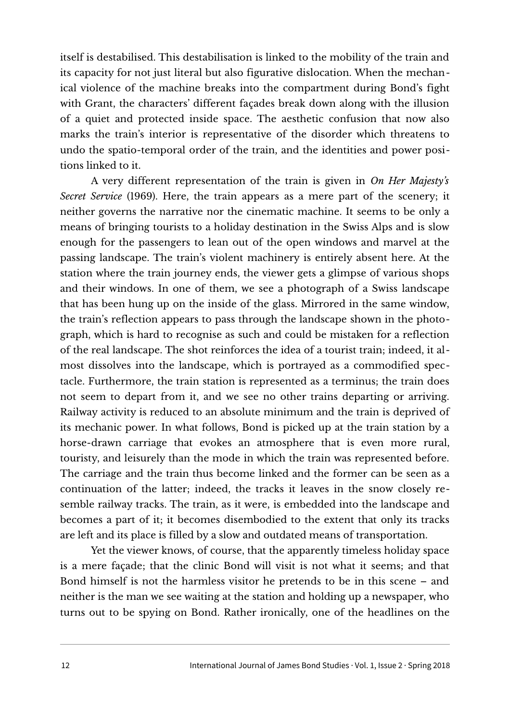itself is destabilised. This destabilisation is linked to the mobility of the train and its capacity for not just literal but also figurative dislocation. When the mechanical violence of the machine breaks into the compartment during Bond's fight with Grant, the characters' different façades break down along with the illusion of a quiet and protected inside space. The aesthetic confusion that now also marks the train's interior is representative of the disorder which threatens to undo the spatio-temporal order of the train, and the identities and power positions linked to it.

A very different representation of the train is given in *On Her Majesty's Secret Service* (1969). Here, the train appears as a mere part of the scenery; it neither governs the narrative nor the cinematic machine. It seems to be only a means of bringing tourists to a holiday destination in the Swiss Alps and is slow enough for the passengers to lean out of the open windows and marvel at the passing landscape. The train's violent machinery is entirely absent here. At the station where the train journey ends, the viewer gets a glimpse of various shops and their windows. In one of them, we see a photograph of a Swiss landscape that has been hung up on the inside of the glass. Mirrored in the same window, the train's reflection appears to pass through the landscape shown in the photograph, which is hard to recognise as such and could be mistaken for a reflection of the real landscape. The shot reinforces the idea of a tourist train; indeed, it almost dissolves into the landscape, which is portrayed as a commodified spectacle. Furthermore, the train station is represented as a terminus; the train does not seem to depart from it, and we see no other trains departing or arriving. Railway activity is reduced to an absolute minimum and the train is deprived of its mechanic power. In what follows, Bond is picked up at the train station by a horse-drawn carriage that evokes an atmosphere that is even more rural, touristy, and leisurely than the mode in which the train was represented before. The carriage and the train thus become linked and the former can be seen as a continuation of the latter; indeed, the tracks it leaves in the snow closely resemble railway tracks. The train, as it were, is embedded into the landscape and becomes a part of it; it becomes disembodied to the extent that only its tracks are left and its place is filled by a slow and outdated means of transportation.

Yet the viewer knows, of course, that the apparently timeless holiday space is a mere façade; that the clinic Bond will visit is not what it seems; and that Bond himself is not the harmless visitor he pretends to be in this scene – and neither is the man we see waiting at the station and holding up a newspaper, who turns out to be spying on Bond. Rather ironically, one of the headlines on the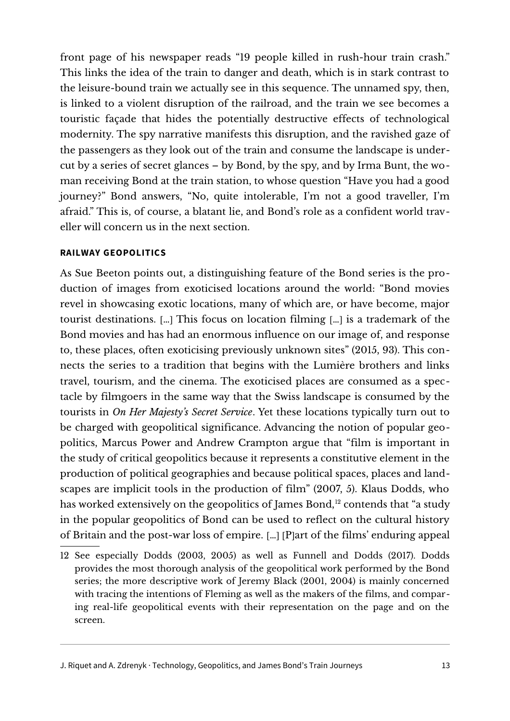front page of his newspaper reads "19 people killed in rush-hour train crash." This links the idea of the train to danger and death, which is in stark contrast to the leisure-bound train we actually see in this sequence. The unnamed spy, then, is linked to a violent disruption of the railroad, and the train we see becomes a touristic façade that hides the potentially destructive effects of technological modernity. The spy narrative manifests this disruption, and the ravished gaze of the passengers as they look out of the train and consume the landscape is undercut by a series of secret glances – by Bond, by the spy, and by Irma Bunt, the woman receiving Bond at the train station, to whose question "Have you had a good journey?" Bond answers, "No, quite intolerable, I'm not a good traveller, I'm afraid." This is, of course, a blatant lie, and Bond's role as a confident world traveller will concern us in the next section.

# **RAILWAY GEOPOLITICS**

As Sue Beeton points out, a distinguishing feature of the Bond series is the production of images from exoticised locations around the world: "Bond movies revel in showcasing exotic locations, many of which are, or have become, major tourist destinations. […] This focus on location filming […] is a trademark of the Bond movies and has had an enormous influence on our image of, and response to, these places, often exoticising previously unknown sites" (2015, 93). This connects the series to a tradition that begins with the Lumière brothers and links travel, tourism, and the cinema. The exoticised places are consumed as a spectacle by filmgoers in the same way that the Swiss landscape is consumed by the tourists in *On Her Majesty's Secret Service*. Yet these locations typically turn out to be charged with geopolitical significance. Advancing the notion of popular geopolitics, Marcus Power and Andrew Crampton argue that "film is important in the study of critical geopolitics because it represents a constitutive element in the production of political geographies and because political spaces, places and landscapes are implicit tools in the production of film" (2007, 5). Klaus Dodds, who has worked extensively on the geopolitics of James Bond,<sup>[12](#page-12-0)</sup> contends that "a study in the popular geopolitics of Bond can be used to reflect on the cultural history of Britain and the post-war loss of empire. […] [P]art of the films' enduring appeal

<span id="page-12-0"></span><sup>12</sup> See especially Dodds (2003, 2005) as well as Funnell and Dodds (2017). Dodds provides the most thorough analysis of the geopolitical work performed by the Bond series; the more descriptive work of Jeremy Black (2001, 2004) is mainly concerned with tracing the intentions of Fleming as well as the makers of the films, and comparing real-life geopolitical events with their representation on the page and on the screen.

J. Riquet and A. Zdrenyk · Technology, Geopolitics, and James Bond's Train Journeys 13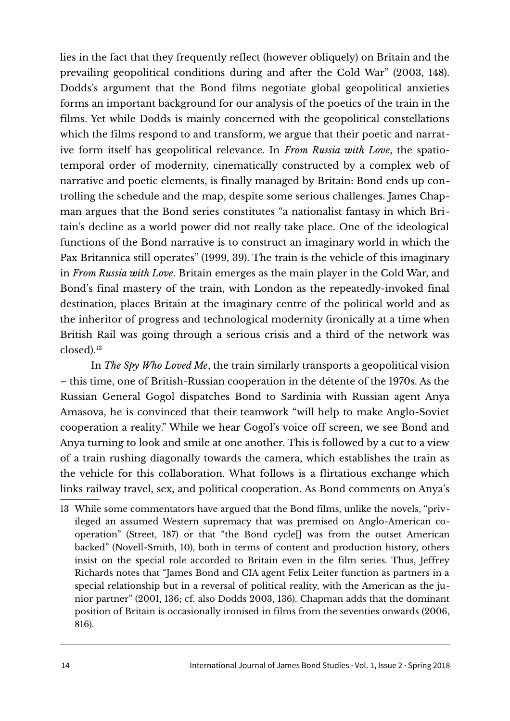lies in the fact that they frequently reflect (however obliquely) on Britain and the prevailing geopolitical conditions during and after the Cold War" (2003, 148). Dodds's argument that the Bond films negotiate global geopolitical anxieties forms an important background for our analysis of the poetics of the train in the films. Yet while Dodds is mainly concerned with the geopolitical constellations which the films respond to and transform, we argue that their poetic and narrative form itself has geopolitical relevance. In *From Russia with Love*, the spatiotemporal order of modernity, cinematically constructed by a complex web of narrative and poetic elements, is finally managed by Britain: Bond ends up controlling the schedule and the map, despite some serious challenges. James Chapman argues that the Bond series constitutes "a nationalist fantasy in which Britain's decline as a world power did not really take place. One of the ideological functions of the Bond narrative is to construct an imaginary world in which the Pax Britannica still operates" (1999, 39). The train is the vehicle of this imaginary in *From Russia with Love*. Britain emerges as the main player in the Cold War, and Bond's final mastery of the train, with London as the repeatedly-invoked final destination, places Britain at the imaginary centre of the political world and as the inheritor of progress and technological modernity (ironically at a time when British Rail was going through a serious crisis and a third of the network was closed).[13](#page-13-0)

In *The Spy Who Loved Me*, the train similarly transports a geopolitical vision – this time, one of British-Russian cooperation in the détente of the 1970s. As the Russian General Gogol dispatches Bond to Sardinia with Russian agent Anya Amasova, he is convinced that their teamwork "will help to make Anglo-Soviet cooperation a reality." While we hear Gogol's voice off screen, we see Bond and Anya turning to look and smile at one another. This is followed by a cut to a view of a train rushing diagonally towards the camera, which establishes the train as the vehicle for this collaboration. What follows is a flirtatious exchange which links railway travel, sex, and political cooperation. As Bond comments on Anya's

<span id="page-13-0"></span><sup>13</sup> While some commentators have argued that the Bond films, unlike the novels, "privileged an assumed Western supremacy that was premised on Anglo-American cooperation" (Street, 187) or that "the Bond cycle[] was from the outset American backed" (Novell-Smith, 10), both in terms of content and production history, others insist on the special role accorded to Britain even in the film series. Thus, Jeffrey Richards notes that "James Bond and CIA agent Felix Leiter function as partners in a special relationship but in a reversal of political reality, with the American as the junior partner" (2001, 136; cf. also Dodds 2003, 136). Chapman adds that the dominant position of Britain is occasionally ironised in films from the seventies onwards (2006, 816).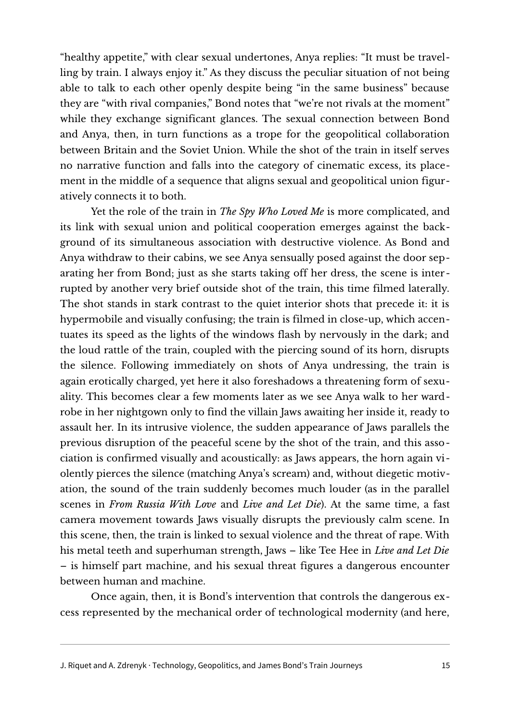"healthy appetite," with clear sexual undertones, Anya replies: "It must be travelling by train. I always enjoy it." As they discuss the peculiar situation of not being able to talk to each other openly despite being "in the same business" because they are "with rival companies," Bond notes that "we're not rivals at the moment" while they exchange significant glances. The sexual connection between Bond and Anya, then, in turn functions as a trope for the geopolitical collaboration between Britain and the Soviet Union. While the shot of the train in itself serves no narrative function and falls into the category of cinematic excess, its placement in the middle of a sequence that aligns sexual and geopolitical union figuratively connects it to both.

Yet the role of the train in *The Spy Who Loved Me* is more complicated, and its link with sexual union and political cooperation emerges against the background of its simultaneous association with destructive violence. As Bond and Anya withdraw to their cabins, we see Anya sensually posed against the door separating her from Bond; just as she starts taking off her dress, the scene is interrupted by another very brief outside shot of the train, this time filmed laterally. The shot stands in stark contrast to the quiet interior shots that precede it: it is hypermobile and visually confusing; the train is filmed in close-up, which accentuates its speed as the lights of the windows flash by nervously in the dark; and the loud rattle of the train, coupled with the piercing sound of its horn, disrupts the silence. Following immediately on shots of Anya undressing, the train is again erotically charged, yet here it also foreshadows a threatening form of sexuality. This becomes clear a few moments later as we see Anya walk to her wardrobe in her nightgown only to find the villain Jaws awaiting her inside it, ready to assault her. In its intrusive violence, the sudden appearance of Jaws parallels the previous disruption of the peaceful scene by the shot of the train, and this association is confirmed visually and acoustically: as Jaws appears, the horn again violently pierces the silence (matching Anya's scream) and, without diegetic motivation, the sound of the train suddenly becomes much louder (as in the parallel scenes in *From Russia With Love* and *Live and Let Die*). At the same time, a fast camera movement towards Jaws visually disrupts the previously calm scene. In this scene, then, the train is linked to sexual violence and the threat of rape. With his metal teeth and superhuman strength, Jaws – like Tee Hee in *Live and Let Die* – is himself part machine, and his sexual threat figures a dangerous encounter between human and machine.

Once again, then, it is Bond's intervention that controls the dangerous excess represented by the mechanical order of technological modernity (and here,

J. Riquet and A. Zdrenyk · Technology, Geopolitics, and James Bond's Train Journeys 15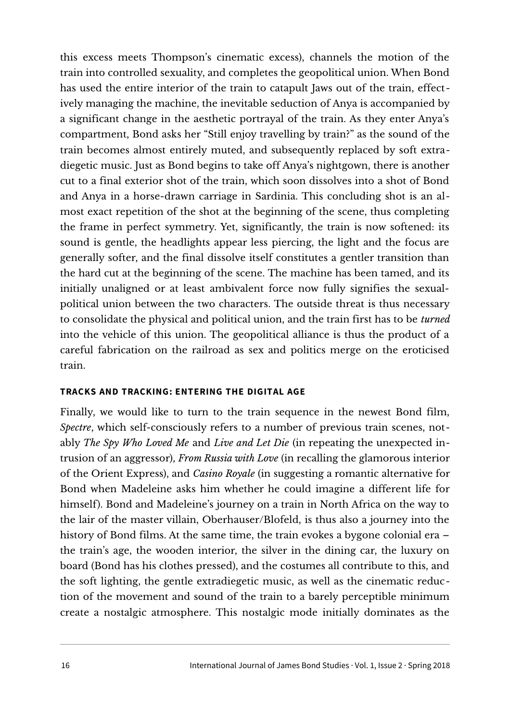this excess meets Thompson's cinematic excess), channels the motion of the train into controlled sexuality, and completes the geopolitical union. When Bond has used the entire interior of the train to catapult Jaws out of the train, effectively managing the machine, the inevitable seduction of Anya is accompanied by a significant change in the aesthetic portrayal of the train. As they enter Anya's compartment, Bond asks her "Still enjoy travelling by train?" as the sound of the train becomes almost entirely muted, and subsequently replaced by soft extradiegetic music. Just as Bond begins to take off Anya's nightgown, there is another cut to a final exterior shot of the train, which soon dissolves into a shot of Bond and Anya in a horse-drawn carriage in Sardinia. This concluding shot is an almost exact repetition of the shot at the beginning of the scene, thus completing the frame in perfect symmetry. Yet, significantly, the train is now softened: its sound is gentle, the headlights appear less piercing, the light and the focus are generally softer, and the final dissolve itself constitutes a gentler transition than the hard cut at the beginning of the scene. The machine has been tamed, and its initially unaligned or at least ambivalent force now fully signifies the sexualpolitical union between the two characters. The outside threat is thus necessary to consolidate the physical and political union, and the train first has to be *turned* into the vehicle of this union. The geopolitical alliance is thus the product of a careful fabrication on the railroad as sex and politics merge on the eroticised train.

## **TRACKS AND TRACKING: ENTERING THE DIGITAL AGE**

Finally, we would like to turn to the train sequence in the newest Bond film, *Spectre*, which self-consciously refers to a number of previous train scenes, notably *The Spy Who Loved Me* and *Live and Let Die* (in repeating the unexpected intrusion of an aggressor), *From Russia with Love* (in recalling the glamorous interior of the Orient Express), and *Casino Royale* (in suggesting a romantic alternative for Bond when Madeleine asks him whether he could imagine a different life for himself). Bond and Madeleine's journey on a train in North Africa on the way to the lair of the master villain, Oberhauser/Blofeld, is thus also a journey into the history of Bond films. At the same time, the train evokes a bygone colonial era – the train's age, the wooden interior, the silver in the dining car, the luxury on board (Bond has his clothes pressed), and the costumes all contribute to this, and the soft lighting, the gentle extradiegetic music, as well as the cinematic reduction of the movement and sound of the train to a barely perceptible minimum create a nostalgic atmosphere. This nostalgic mode initially dominates as the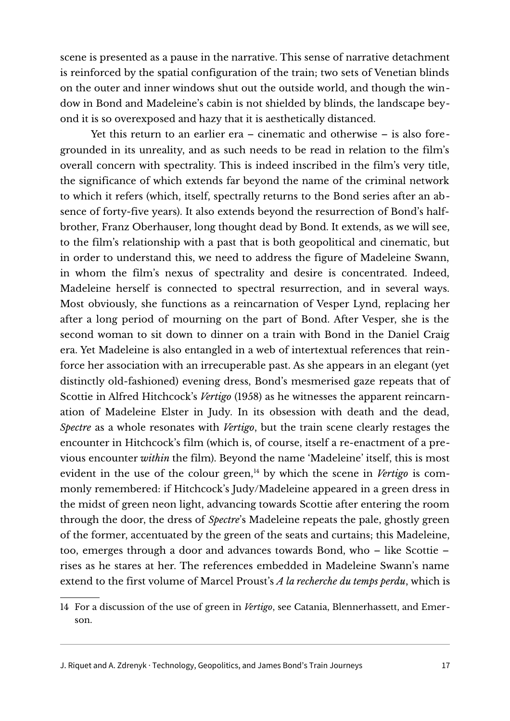scene is presented as a pause in the narrative. This sense of narrative detachment is reinforced by the spatial configuration of the train; two sets of Venetian blinds on the outer and inner windows shut out the outside world, and though the window in Bond and Madeleine's cabin is not shielded by blinds, the landscape beyond it is so overexposed and hazy that it is aesthetically distanced.

Yet this return to an earlier era – cinematic and otherwise – is also foregrounded in its unreality, and as such needs to be read in relation to the film's overall concern with spectrality. This is indeed inscribed in the film's very title, the significance of which extends far beyond the name of the criminal network to which it refers (which, itself, spectrally returns to the Bond series after an absence of forty-five years). It also extends beyond the resurrection of Bond's halfbrother, Franz Oberhauser, long thought dead by Bond. It extends, as we will see, to the film's relationship with a past that is both geopolitical and cinematic, but in order to understand this, we need to address the figure of Madeleine Swann, in whom the film's nexus of spectrality and desire is concentrated. Indeed, Madeleine herself is connected to spectral resurrection, and in several ways. Most obviously, she functions as a reincarnation of Vesper Lynd, replacing her after a long period of mourning on the part of Bond. After Vesper, she is the second woman to sit down to dinner on a train with Bond in the Daniel Craig era. Yet Madeleine is also entangled in a web of intertextual references that reinforce her association with an irrecuperable past. As she appears in an elegant (yet distinctly old-fashioned) evening dress, Bond's mesmerised gaze repeats that of Scottie in Alfred Hitchcock's *Vertigo* (1958) as he witnesses the apparent reincarnation of Madeleine Elster in Judy. In its obsession with death and the dead, *Spectre* as a whole resonates with *Vertigo*, but the train scene clearly restages the encounter in Hitchcock's film (which is, of course, itself a re-enactment of a previous encounter *within* the film). Beyond the name 'Madeleine' itself, this is most evident in the use of the colour green,<sup>[14](#page-16-0)</sup> by which the scene in *Vertigo* is commonly remembered: if Hitchcock's Judy/Madeleine appeared in a green dress in the midst of green neon light, advancing towards Scottie after entering the room through the door, the dress of *Spectre*'s Madeleine repeats the pale, ghostly green of the former, accentuated by the green of the seats and curtains; this Madeleine, too, emerges through a door and advances towards Bond, who – like Scottie – rises as he stares at her. The references embedded in Madeleine Swann's name extend to the first volume of Marcel Proust's *A la recherche du temps perdu*, which is

<span id="page-16-0"></span><sup>14</sup> For a discussion of the use of green in *Vertigo*, see Catania, Blennerhassett, and Emerson.

J. Riquet and A. Zdrenyk · Technology, Geopolitics, and James Bond's Train Journeys 17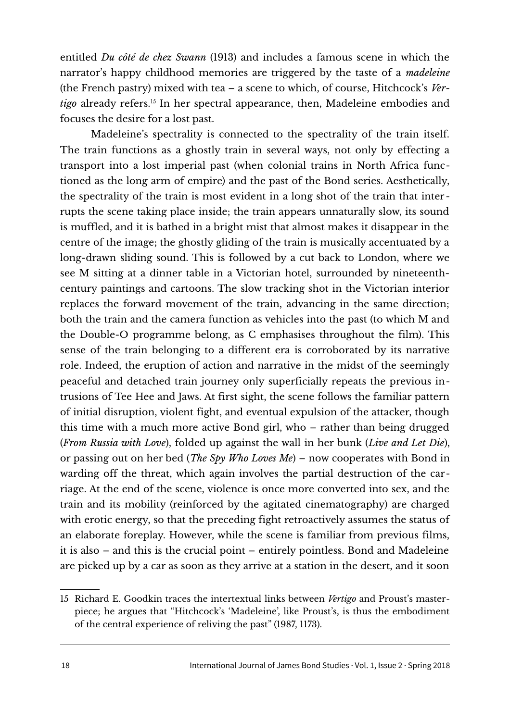entitled *Du côté de chez Swann* (1913) and includes a famous scene in which the narrator's happy childhood memories are triggered by the taste of a *madeleine* (the French pastry) mixed with tea – a scene to which, of course, Hitchcock's *Vertigo* already refers.<sup>[15](#page-17-0)</sup> In her spectral appearance, then, Madeleine embodies and focuses the desire for a lost past.

Madeleine's spectrality is connected to the spectrality of the train itself. The train functions as a ghostly train in several ways, not only by effecting a transport into a lost imperial past (when colonial trains in North Africa functioned as the long arm of empire) and the past of the Bond series. Aesthetically, the spectrality of the train is most evident in a long shot of the train that inter rupts the scene taking place inside; the train appears unnaturally slow, its sound is muffled, and it is bathed in a bright mist that almost makes it disappear in the centre of the image; the ghostly gliding of the train is musically accentuated by a long-drawn sliding sound. This is followed by a cut back to London, where we see M sitting at a dinner table in a Victorian hotel, surrounded by nineteenthcentury paintings and cartoons. The slow tracking shot in the Victorian interior replaces the forward movement of the train, advancing in the same direction; both the train and the camera function as vehicles into the past (to which M and the Double-O programme belong, as C emphasises throughout the film). This sense of the train belonging to a different era is corroborated by its narrative role. Indeed, the eruption of action and narrative in the midst of the seemingly peaceful and detached train journey only superficially repeats the previous intrusions of Tee Hee and Jaws. At first sight, the scene follows the familiar pattern of initial disruption, violent fight, and eventual expulsion of the attacker, though this time with a much more active Bond girl, who – rather than being drugged (*From Russia with Love*), folded up against the wall in her bunk (*Live and Let Die*), or passing out on her bed (*The Spy Who Loves Me*) – now cooperates with Bond in warding off the threat, which again involves the partial destruction of the carriage. At the end of the scene, violence is once more converted into sex, and the train and its mobility (reinforced by the agitated cinematography) are charged with erotic energy, so that the preceding fight retroactively assumes the status of an elaborate foreplay. However, while the scene is familiar from previous films, it is also – and this is the crucial point – entirely pointless. Bond and Madeleine are picked up by a car as soon as they arrive at a station in the desert, and it soon

<span id="page-17-0"></span><sup>15</sup> Richard E. Goodkin traces the intertextual links between *Vertigo* and Proust's masterpiece; he argues that "Hitchcock's 'Madeleine', like Proust's, is thus the embodiment of the central experience of reliving the past" (1987, 1173).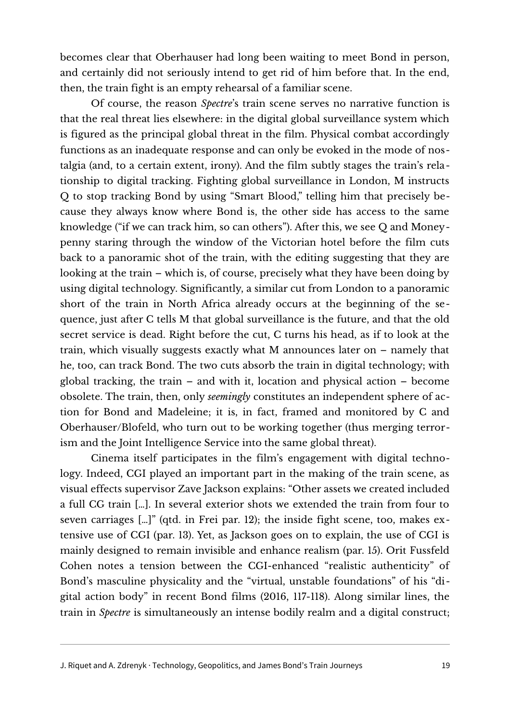becomes clear that Oberhauser had long been waiting to meet Bond in person, and certainly did not seriously intend to get rid of him before that. In the end, then, the train fight is an empty rehearsal of a familiar scene.

Of course, the reason *Spectre*'s train scene serves no narrative function is that the real threat lies elsewhere: in the digital global surveillance system which is figured as the principal global threat in the film. Physical combat accordingly functions as an inadequate response and can only be evoked in the mode of nostalgia (and, to a certain extent, irony). And the film subtly stages the train's relationship to digital tracking. Fighting global surveillance in London, M instructs Q to stop tracking Bond by using "Smart Blood," telling him that precisely because they always know where Bond is, the other side has access to the same knowledge ("if we can track him, so can others"). After this, we see Q and Moneypenny staring through the window of the Victorian hotel before the film cuts back to a panoramic shot of the train, with the editing suggesting that they are looking at the train – which is, of course, precisely what they have been doing by using digital technology. Significantly, a similar cut from London to a panoramic short of the train in North Africa already occurs at the beginning of the sequence, just after C tells M that global surveillance is the future, and that the old secret service is dead. Right before the cut, C turns his head, as if to look at the train, which visually suggests exactly what M announces later on – namely that he, too, can track Bond. The two cuts absorb the train in digital technology; with global tracking, the train – and with it, location and physical action – become obsolete. The train, then, only *seemingly* constitutes an independent sphere of action for Bond and Madeleine; it is, in fact, framed and monitored by C and Oberhauser/Blofeld, who turn out to be working together (thus merging terrorism and the Joint Intelligence Service into the same global threat).

Cinema itself participates in the film's engagement with digital technology. Indeed, CGI played an important part in the making of the train scene, as visual effects supervisor Zave Jackson explains: "Other assets we created included a full CG train […]. In several exterior shots we extended the train from four to seven carriages […]" (qtd. in Frei par. 12); the inside fight scene, too, makes extensive use of CGI (par. 13). Yet, as Jackson goes on to explain, the use of CGI is mainly designed to remain invisible and enhance realism (par. 15). Orit Fussfeld Cohen notes a tension between the CGI-enhanced "realistic authenticity" of Bond's masculine physicality and the "virtual, unstable foundations" of his "digital action body" in recent Bond films (2016, 117-118). Along similar lines, the train in *Spectre* is simultaneously an intense bodily realm and a digital construct;

J. Riquet and A. Zdrenyk · Technology, Geopolitics, and James Bond's Train Journeys 19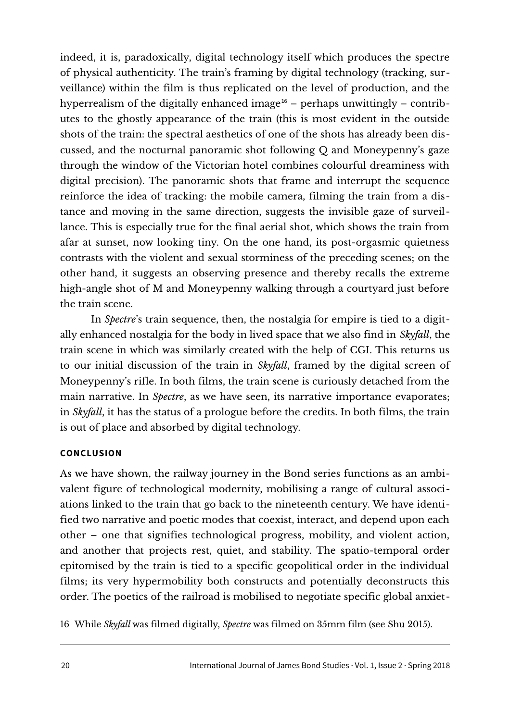indeed, it is, paradoxically, digital technology itself which produces the spectre of physical authenticity. The train's framing by digital technology (tracking, surveillance) within the film is thus replicated on the level of production, and the hyperrealism of the digitally enhanced image<sup>[16](#page-19-0)</sup> – perhaps unwittingly – contributes to the ghostly appearance of the train (this is most evident in the outside shots of the train: the spectral aesthetics of one of the shots has already been discussed, and the nocturnal panoramic shot following Q and Moneypenny's gaze through the window of the Victorian hotel combines colourful dreaminess with digital precision). The panoramic shots that frame and interrupt the sequence reinforce the idea of tracking: the mobile camera, filming the train from a distance and moving in the same direction, suggests the invisible gaze of surveillance. This is especially true for the final aerial shot, which shows the train from afar at sunset, now looking tiny. On the one hand, its post-orgasmic quietness contrasts with the violent and sexual storminess of the preceding scenes; on the other hand, it suggests an observing presence and thereby recalls the extreme high-angle shot of M and Moneypenny walking through a courtyard just before the train scene.

In *Spectre*'s train sequence, then, the nostalgia for empire is tied to a digitally enhanced nostalgia for the body in lived space that we also find in *Skyfall*, the train scene in which was similarly created with the help of CGI. This returns us to our initial discussion of the train in *Skyfall*, framed by the digital screen of Moneypenny's rifle. In both films, the train scene is curiously detached from the main narrative. In *Spectre*, as we have seen, its narrative importance evaporates; in *Skyfall*, it has the status of a prologue before the credits. In both films, the train is out of place and absorbed by digital technology.

## **CONCLUSION**

As we have shown, the railway journey in the Bond series functions as an ambivalent figure of technological modernity, mobilising a range of cultural associations linked to the train that go back to the nineteenth century. We have identified two narrative and poetic modes that coexist, interact, and depend upon each other – one that signifies technological progress, mobility, and violent action, and another that projects rest, quiet, and stability. The spatio-temporal order epitomised by the train is tied to a specific geopolitical order in the individual films; its very hypermobility both constructs and potentially deconstructs this order. The poetics of the railroad is mobilised to negotiate specific global anxiet-

<span id="page-19-0"></span>16 While *Skyfall* was filmed digitally, *Spectre* was filmed on 35mm film (see Shu 2015).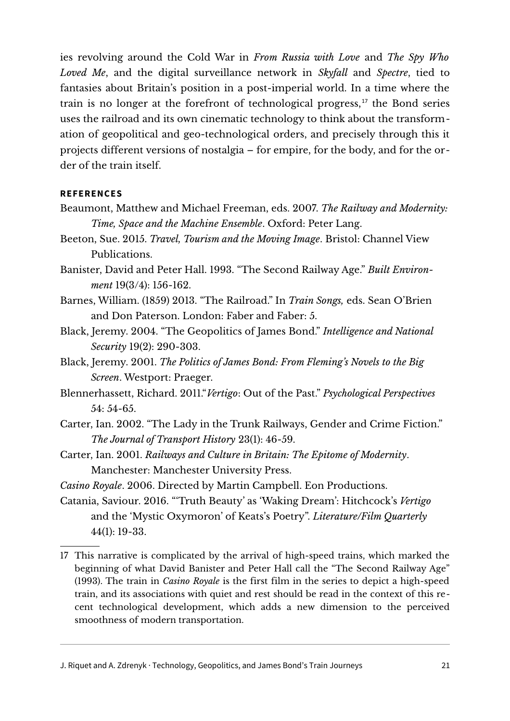ies revolving around the Cold War in *From Russia with Love* and *The Spy Who Loved Me*, and the digital surveillance network in *Skyfall* and *Spectre*, tied to fantasies about Britain's position in a post-imperial world. In a time where the train is no longer at the forefront of technological progress, $17$  the Bond series uses the railroad and its own cinematic technology to think about the transformation of geopolitical and geo-technological orders, and precisely through this it projects different versions of nostalgia – for empire, for the body, and for the order of the train itself.

#### **REFERENCES**

- Beaumont, Matthew and Michael Freeman, eds. 2007. *The Railway and Modernity: Time, Space and the Machine Ensemble*. Oxford: Peter Lang.
- Beeton, Sue. 2015. *Travel, Tourism and the Moving Image*. Bristol: Channel View Publications.
- Banister, David and Peter Hall. 1993. "The Second Railway Age." *Built Environment* 19(3/4): 156-162.
- Barnes, William. (1859) 2013. "The Railroad." In *Train Songs,* eds. Sean O'Brien and Don Paterson. London: Faber and Faber: 5.
- Black, Jeremy. 2004. "The Geopolitics of James Bond." *Intelligence and National Security* 19(2): 290-303.
- Black, Jeremy. 2001. *The Politics of James Bond: From Fleming's Novels to the Big Screen*. Westport: Praeger.
- Blennerhassett, Richard. 2011."*Vertigo*: Out of the Past." *Psychological Perspectives* 54: 54-65.
- Carter, Ian. 2002. "The Lady in the Trunk Railways, Gender and Crime Fiction." *The Journal of Transport History* 23(1): 46-59.
- Carter, Ian. 2001. *Railways and Culture in Britain: The Epitome of Modernity*. Manchester: Manchester University Press.
- *Casino Royale*. 2006. Directed by Martin Campbell. Eon Productions.
- Catania, Saviour. 2016. "'Truth Beauty' as 'Waking Dream': Hitchcock's *Vertigo* and the 'Mystic Oxymoron' of Keats's Poetry". *Literature/Film Quarterly* 44(1): 19-33.
- <span id="page-20-0"></span>17 This narrative is complicated by the arrival of high-speed trains, which marked the beginning of what David Banister and Peter Hall call the "The Second Railway Age" (1993). The train in *Casino Royale* is the first film in the series to depict a high-speed train, and its associations with quiet and rest should be read in the context of this recent technological development, which adds a new dimension to the perceived smoothness of modern transportation.

J. Riquet and A. Zdrenyk · Technology, Geopolitics, and James Bond's Train Journeys 21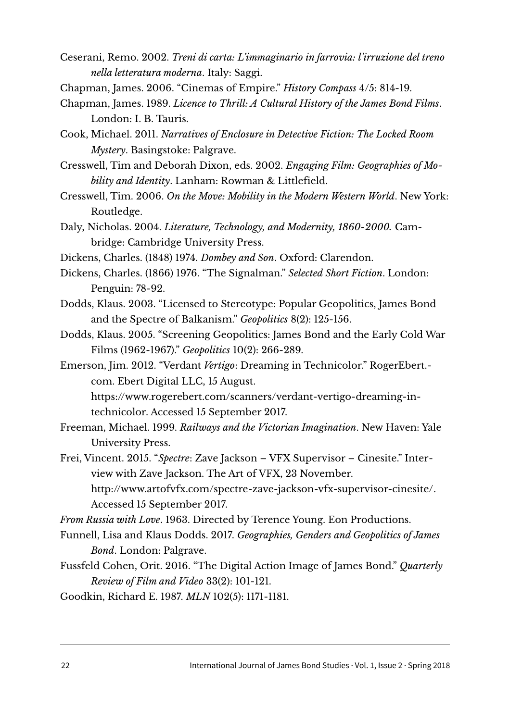- Ceserani, Remo. 2002. *Treni di carta: L'immaginario in farrovia: l'irruzione del treno nella letteratura moderna*. Italy: Saggi.
- Chapman, James. 2006. "Cinemas of Empire." *History Compass* 4/5: 814-19.
- Chapman, James. 1989. *Licence to Thrill: A Cultural History of the James Bond Films*. London: I. B. Tauris.
- Cook, Michael. 2011. *Narratives of Enclosure in Detective Fiction: The Locked Room Mystery*. Basingstoke: Palgrave.
- Cresswell, Tim and Deborah Dixon, eds. 2002. *Engaging Film: Geographies of Mobility and Identity*. Lanham: Rowman & Littlefield.

Cresswell, Tim. 2006. *On the Move: Mobility in the Modern Western World*. New York: Routledge.

- Daly, Nicholas. 2004. *Literature, Technology, and Modernity, 1860-2000.* Cambridge: Cambridge University Press.
- Dickens, Charles. (1848) 1974. *Dombey and Son*. Oxford: Clarendon.
- Dickens, Charles. (1866) 1976. "The Signalman." *Selected Short Fiction*. London: Penguin: 78-92.
- Dodds, Klaus. 2003. "Licensed to Stereotype: Popular Geopolitics, James Bond and the Spectre of Balkanism." *Geopolitics* 8(2): 125-156.
- Dodds, Klaus. 2005. "Screening Geopolitics: James Bond and the Early Cold War Films (1962-1967)." *Geopolitics* 10(2): 266-289.
- Emerson, Jim. 2012. "Verdant *Vertigo*: Dreaming in Technicolor." RogerEbert. com. Ebert Digital LLC, 15 August.
	- [https://www.rogerebert.com/scanners/verdant-vertigo-dreaming-in](https://www.rogerebert.com/scanners/verdant-vertigo-dreaming-in-technicolor)[technicolor.](https://www.rogerebert.com/scanners/verdant-vertigo-dreaming-in-technicolor) Accessed 15 September 2017.
- Freeman, Michael. 1999. *Railways and the Victorian Imagination*. New Haven: Yale University Press.
- Frei, Vincent. 2015. "*Spectre*: Zave Jackson VFX Supervisor Cinesite." Interview with Zave Jackson. The Art of VFX, 23 November. [http://www.artofvfx.com/spectre-zave-jackson-vfx-supervisor-cinesite/.](http://www.artofvfx.com/spectre-zave-jackson-vfx-supervisor-cinesite/) Accessed 15 September 2017.

*From Russia with Love*. 1963. Directed by Terence Young. Eon Productions.

- Funnell, Lisa and Klaus Dodds. 2017. *Geographies, Genders and Geopolitics of James Bond*. London: Palgrave.
- Fussfeld Cohen, Orit. 2016. "The Digital Action Image of James Bond." *Quarterly Review of Film and Video* 33(2): 101-121.
- Goodkin, Richard E. 1987. *MLN* 102(5): 1171-1181.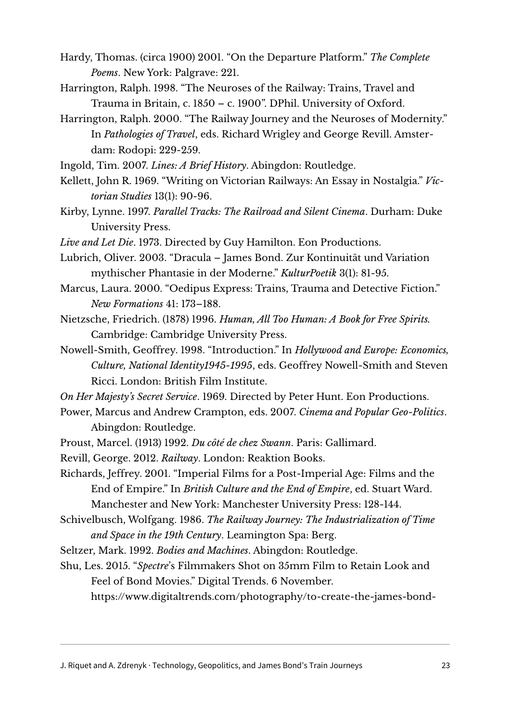- Hardy, Thomas. (circa 1900) 2001. "On the Departure Platform." *The Complete Poems*. New York: Palgrave: 221.
- Harrington, Ralph. 1998. "The Neuroses of the Railway: Trains, Travel and Trauma in Britain, c. 1850 – c. 1900". DPhil. University of Oxford.
- Harrington, Ralph. 2000. "The Railway Journey and the Neuroses of Modernity." In *Pathologies of Travel*, eds. Richard Wrigley and George Revill. Amsterdam: Rodopi: 229-259.
- Ingold, Tim. 2007. *Lines: A Brief History*. Abingdon: Routledge.
- Kellett, John R. 1969. "Writing on Victorian Railways: An Essay in Nostalgia." *Victorian Studies* 13(1): 90-96.
- Kirby, Lynne. 1997. *Parallel Tracks: The Railroad and Silent Cinema*. Durham: Duke University Press.
- *Live and Let Die*. 1973. Directed by Guy Hamilton. Eon Productions.
- Lubrich, Oliver. 2003. "Dracula James Bond. Zur Kontinuität und Variation mythischer Phantasie in der Moderne." *KulturPoetik* 3(1): 81-95.
- Marcus, Laura. 2000. "Oedipus Express: Trains, Trauma and Detective Fiction." *New Formations* 41: 173–188.
- Nietzsche, Friedrich. (1878) 1996. *Human, All Too Human: A Book for Free Spirits.* Cambridge: Cambridge University Press.
- Nowell-Smith, Geoffrey. 1998. "Introduction." In *Hollywood and Europe: Economics, Culture, National Identity1945-1995*, eds. Geoffrey Nowell-Smith and Steven Ricci. London: British Film Institute.
- *On Her Majesty's Secret Service*. 1969. Directed by Peter Hunt. Eon Productions.
- Power, Marcus and Andrew Crampton, eds. 2007. *Cinema and Popular Geo-Politics*. Abingdon: Routledge.
- Proust, Marcel. (1913) 1992. *Du côté de chez Swann*. Paris: Gallimard.
- Revill, George. 2012. *Railway*. London: Reaktion Books.
- Richards, Jeffrey. 2001. "Imperial Films for a Post-Imperial Age: Films and the End of Empire." In *British Culture and the End of Empire*, ed. Stuart Ward. Manchester and New York: Manchester University Press: 128-144.
- Schivelbusch, Wolfgang. 1986. *The Railway Journey: The Industrialization of Time and Space in the 19th Century*. Leamington Spa: Berg.
- Seltzer, Mark. 1992. *Bodies and Machines*. Abingdon: Routledge.
- Shu, Les. 2015. "*Spectre*'s Filmmakers Shot on 35mm Film to Retain Look and Feel of Bond Movies." Digital Trends. 6 November.

[https://www.digitaltrends.com/photography/to-create-the-james-bond-](https://www.digitaltrends.com/photography/to-create-the-james-bond-look-spectres-filmmakers-return-to-35mm-film/)